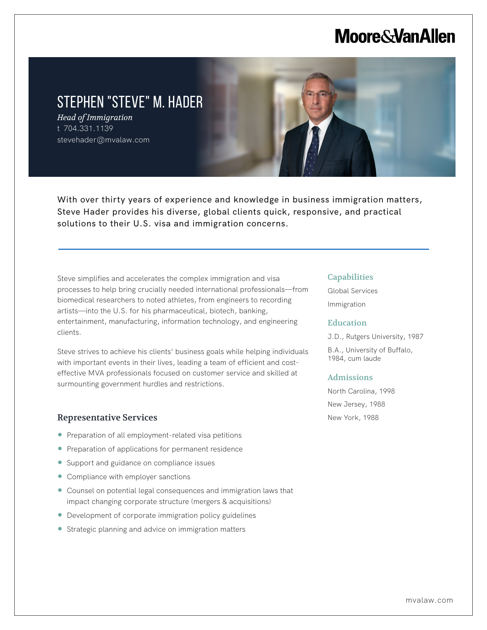# **Moore & Van Allen**

# STEPHEN "STEVE" M. HADER

*Head of Immigration* t 704.331.1139 stevehader@mvalaw.com

L

With over thirty years of experience and knowledge in business immigration matters, Steve Hader provides his diverse, global clients quick, responsive, and practical solutions to their U.S. visa and immigration concerns.

Steve simplifies and accelerates the complex immigration and visa processes to help bring crucially needed international professionals—from biomedical researchers to noted athletes, from engineers to recording artists—into the U.S. for his pharmaceutical, biotech, banking, entertainment, manufacturing, information technology, and engineering clients.

Steve strives to achieve his clients' business goals while helping individuals with important events in their lives, leading a team of efficient and costeffective MVA professionals focused on customer service and skilled at surmounting government hurdles and restrictions.

#### Representative Services

- Preparation of all employment-related visa petitions
- Preparation of applications for permanent residence
- Support and guidance on compliance issues
- Compliance with employer sanctions
- Counsel on potential legal consequences and immigration laws that impact changing corporate structure (mergers & acquisitions)
- Development of corporate immigration policy guidelines
- Strategic planning and advice on immigration matters

#### **Capabilities**

Global Services Immigration

#### Education

J.D., Rutgers University, 1987

B.A., University of Buffalo, 1984, cum laude

#### Admissions

North Carolina, 1998 New Jersey, 1988 New York, 1988